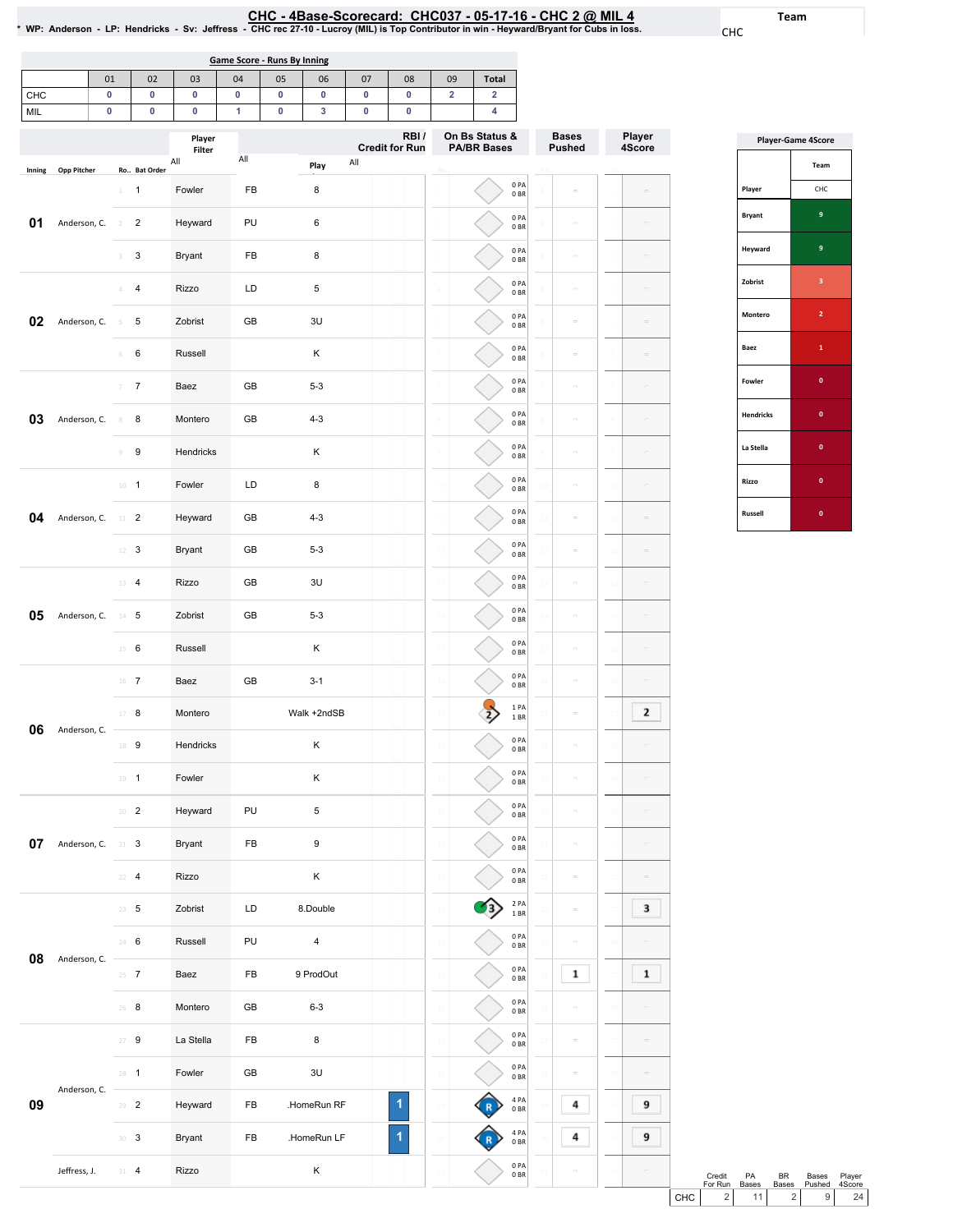Team CHC

Player 4Score

19

20

21

22

23

 $\mathbf 3$ 

 $\mathbf 1$ 

9

9

 $24$ 

25

26

27

28

29

30

31

|                    |              |                          |                  |                  |                                    |    |             |     |                               |                         | CHC - 4Base-Scorecard: CHC037 - 05-17-16 - CHC 2 @ MIL 4<br>* WP: Anderson - LP: Hendricks - Sv: Jeffress - CHC rec 27-10 - Lucroy (MIL) is Top Contributor in win - Heyward/Bryant for Cubs in loss. |                               |                  |
|--------------------|--------------|--------------------------|------------------|------------------|------------------------------------|----|-------------|-----|-------------------------------|-------------------------|-------------------------------------------------------------------------------------------------------------------------------------------------------------------------------------------------------|-------------------------------|------------------|
|                    |              |                          |                  |                  | <b>Game Score - Runs By Inning</b> |    |             |     |                               |                         |                                                                                                                                                                                                       |                               |                  |
|                    |              | 01                       | 02               | 03               | 04                                 | 05 | 06          | 07  | 08                            | 09                      | <b>Total</b>                                                                                                                                                                                          |                               |                  |
| CHC                |              | 0                        | 0                | 0                | 0                                  | 0  | 0           | 0   | 0                             | $\overline{\mathbf{2}}$ | $\overline{\mathbf{2}}$                                                                                                                                                                               |                               |                  |
| MIL                |              | 0                        | 0                | 0                | 1                                  | 0  | 3           | 0   | 0                             |                         | 4                                                                                                                                                                                                     |                               |                  |
|                    |              |                          |                  | Player<br>Filter |                                    |    |             |     | RBI/<br><b>Credit for Run</b> |                         | On Bs Status &<br><b>PA/BR Bases</b>                                                                                                                                                                  | <b>Bases</b><br><b>Pushed</b> | Player<br>4Score |
| Inning             | Opp Pitcher  |                          | Ro Bat Order     | All              | $\mathsf{All}$                     |    | Play        | All |                               |                         |                                                                                                                                                                                                       |                               |                  |
|                    |              | $\mathbf{1}$             | $\mathbf{1}$     | Fowler           | FB                                 |    | 8           |     |                               |                         | 0PA<br>0BR                                                                                                                                                                                            | ö                             |                  |
| 01                 | Anderson, C. | $\overline{\phantom{a}}$ | $\overline{2}$   | Heyward          | PU                                 |    | 6           |     |                               |                         | 0PA<br>0BR                                                                                                                                                                                            | ă,                            |                  |
|                    |              |                          | 3                | <b>Bryant</b>    | FB                                 |    | 8           |     |                               |                         | 0PA<br>0 <sub>BR</sub>                                                                                                                                                                                |                               |                  |
|                    |              | Δ                        | $\overline{4}$   | Rizzo            | LD                                 |    | 5           |     |                               | 4                       | 0PA<br>0 <sub>BR</sub>                                                                                                                                                                                | $\sim$                        |                  |
| 02<br>Anderson, C. | $\leq$       | 5                        | Zobrist          | GB               |                                    | 3U |             |     |                               | 0PA<br>0B               | $\equiv$                                                                                                                                                                                              |                               |                  |
|                    |              | 6                        | 6                | Russell          |                                    |    | κ           |     |                               | $\,6\,$                 | 0PA<br>0BR                                                                                                                                                                                            | $\sim$                        |                  |
|                    |              |                          | $\overline{7}$   | Baez             | GB                                 |    | $5 - 3$     |     |                               |                         | 0PA<br>0BR                                                                                                                                                                                            | $\bar{a}$                     |                  |
| 03                 | Anderson, C. | 8                        | 8                | Montero          | GB                                 |    | $4 - 3$     |     |                               | $\bar{8}$               | 0PA<br>0 <sub>BR</sub>                                                                                                                                                                                | $\bar{a}$                     |                  |
|                    |              | $\Box$                   | $\boldsymbol{9}$ | Hendricks        |                                    |    | Κ           |     |                               | $\circ$                 | 0PA<br>0 <sub>BR</sub>                                                                                                                                                                                | $\equiv$                      |                  |
|                    |              |                          | $10 - 1$         | Fowler           | LD                                 |    | 8           |     |                               | $10$                    | 0PA<br>0BR                                                                                                                                                                                            | ö                             |                  |
| 04                 | Anderson, C. |                          | $11 \t 2$        | Heyward          | GB                                 |    | $4 - 3$     |     |                               | $\frac{1}{2}$           | 0PA<br>0 <sub>BR</sub>                                                                                                                                                                                | $\bar{a}$                     |                  |
|                    |              |                          | $12 - 3$         | <b>Bryant</b>    | GB                                 |    | $5 - 3$     |     |                               | $\frac{1}{2}$           | 0PA<br>0 <sub>BR</sub>                                                                                                                                                                                | $\bar{a}$                     |                  |
|                    |              |                          | 13 4             | Rizzo            | GB                                 |    | 3U          |     |                               | $13$                    | 0PA<br>0 <sub>BR</sub>                                                                                                                                                                                | $\equiv$                      |                  |
| 05                 | Anderson, C. |                          | $14$ 5           | Zobrist          | GB                                 |    | $5 - 3$     |     |                               | 14                      | 0 <sub>PA</sub><br>0BR                                                                                                                                                                                | $\equiv$                      |                  |
|                    |              |                          | $15 \t 6$        | Russell          |                                    |    | Κ           |     |                               | 15                      | 0PA<br>0BR                                                                                                                                                                                            | $\equiv$                      |                  |
|                    |              |                          | $16$ 7           | Baez             | GB                                 |    | $3 - 1$     |     |                               | 16                      | 0PA<br>0BR                                                                                                                                                                                            | $\alpha$                      |                  |
|                    |              |                          | 17 8             | Montero          |                                    |    | Walk +2ndSB |     |                               | $\mathbf{r}$            | 1PA<br>1BR                                                                                                                                                                                            | $\equiv$                      | 2                |
| 06                 | Anderson, C. |                          | 18 9             | Hendricks        |                                    |    | Κ           |     |                               |                         | 0PA<br>0 <sub>BR</sub>                                                                                                                                                                                |                               |                  |

19 1 Fowler K

20 2 Heyward PU 5

22 4 Rizzo K

23 5 Zobrist LD 8.Double

24 6 Russell PU 4

26 8 Montero GB 6-3

27 9 La Stella FB 8

28 1 Fowler GB 3U

29 2 Heyward FB .HomeRun RF

30 3 Bryant FB .HomeRun LF

1

19

0PA 0BR

19

 $\circ$ 

 $\sigma$ 

 $\sim$ 

 $\circ$ 

 $\sim$ 

 $\overline{\phantom{a}}$ 

 $\mathbf 1$ 

 $\sim$ 

 $\sim$ 

 $\sim$ 

 $\pmb{4}$ 

 $\pmb{4}$ 

 $\overline{\phantom{a}}$ 

20

21

22

23

24

25

26

27

28

29

30

31

0PA 0BR

0PA 0BR

0PA 0BR

2PA 1BR

0PA 0BR

0PA 0BR

0PA 0BR

0PA 0BR

0PA 0BR

4PA 0BR

<mark>◆</mark>

G

4PA 0BR

0PA 0BR

20

21

27

28

29

30

31

Jeffress,J. 31 4 Rizzo K

Bryant FB 9

Baez FB 9 ProdOut

**07** Anderson, C. 21 3

**08** Anderson, C.  $\frac{1}{25}$  7

Anderson, C.

09

|                  | <b>Player-Game 4Score</b> |
|------------------|---------------------------|
|                  | Team                      |
| Player           | CHC                       |
| <b>Bryant</b>    | 9                         |
| Heyward          | 9                         |
| Zobrist          | 3                         |
| Montero          | $\overline{2}$            |
| Baez             | $\mathbf{1}$              |
| Fowler           | O                         |
| <b>Hendricks</b> | O                         |
| La Stella        | O                         |
| Rizzo            | Ō                         |
| <b>Russell</b>   | O                         |

|       | Credit<br>For Run | <b>PA</b><br><b>Bases</b> | RR | Bases<br>Bases Pushed | Plaver<br>4Score |  |
|-------|-------------------|---------------------------|----|-----------------------|------------------|--|
| CHC I | 2 <sub>1</sub>    | 11 <sup>1</sup>           |    | 9 I                   | 24               |  |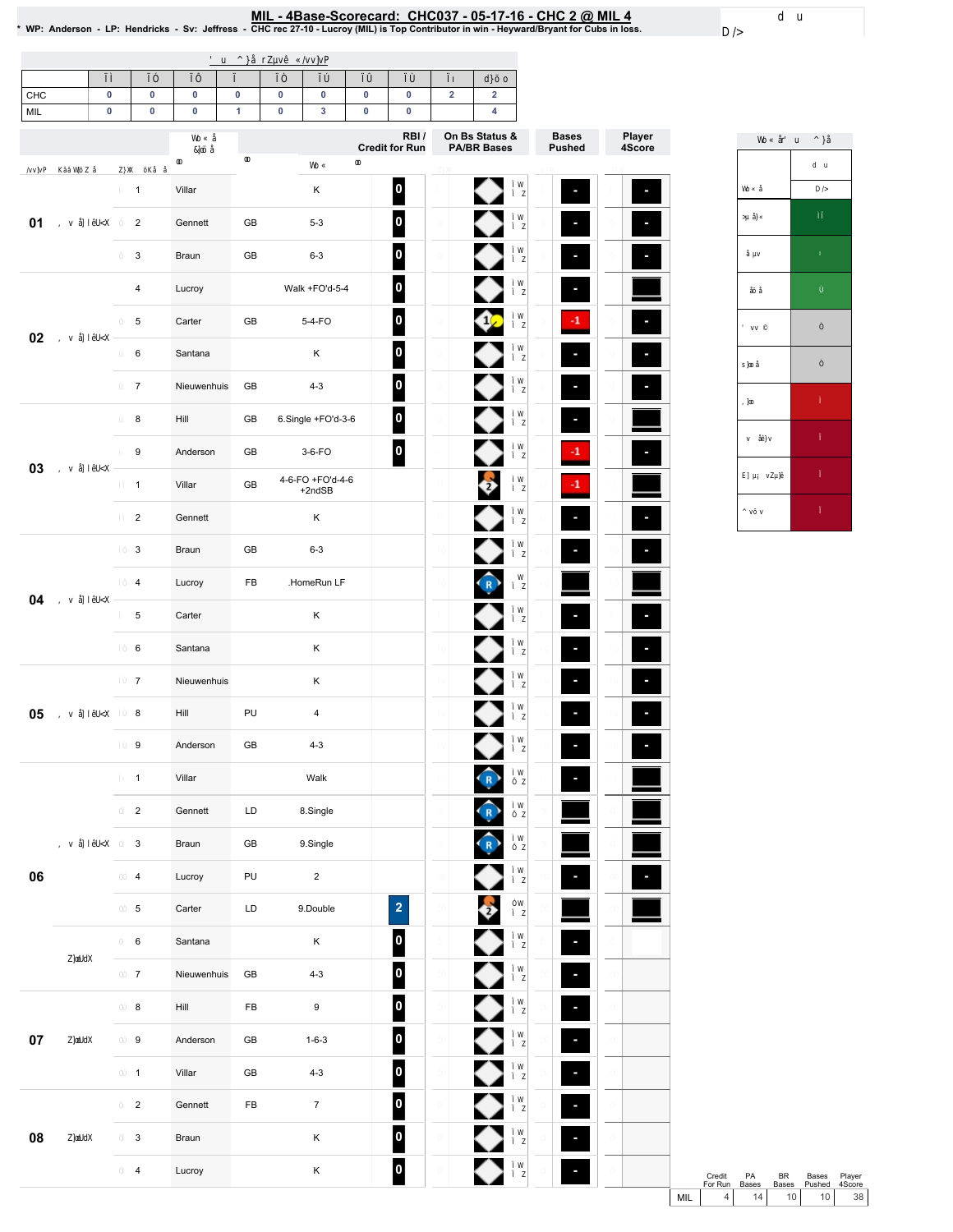<u>MIL - 4Base-Scorecard: CHC037 - 05-17-16 - CHC 2 @ MIL 4</u><br>• WP: Anderson - LP: Hendricks - Sv: Jeffress - CHC rec 27-10 - Lucroy (MIL) is Top Contributor in win - Heyward/Bryant for Cubs in loss.

 $\overline{\phantom{0}}$ 

| CHC<br>MIL | $\pmb{0}$<br>$\pmb{0}$ | $\pmb{0}$<br>$\pmb{0}$  | $\pmb{0}$<br>$\pmb{0}$ | $\pmb{0}$<br>$\mathbf{1}$ | $\pmb{0}$<br>$\pmb{0}$ | 0<br>$\overline{\mathbf{3}}$ | $\pmb{0}$<br>$\pmb{0}$ | $\pmb{0}$<br>$\pmb{0}$   | $\mathbf 2$ | $\mathbf 2$<br>$\overline{\mathbf{4}}$ |               |                          |
|------------|------------------------|-------------------------|------------------------|---------------------------|------------------------|------------------------------|------------------------|--------------------------|-------------|----------------------------------------|---------------|--------------------------|
|            |                        |                         |                        |                           |                        |                              |                        | RBI/                     |             | On Bs Status &                         | <b>Bases</b>  | Player<br>4Score         |
|            |                        |                         |                        |                           |                        |                              |                        | <b>Credit for Run</b>    |             | <b>PA/BR Bases</b>                     | <b>Pushed</b> |                          |
|            |                        | $\mathbf{1}$            | Villar                 |                           |                        | $\sf K$                      |                        | $\vert$ 0                |             |                                        |               | Е                        |
| 01         |                        | $\overline{2}$          | Gennett                | GB                        |                        | $5 - 3$                      |                        | 0                        |             |                                        |               |                          |
|            |                        | 3                       | Braun                  | GB                        |                        | $6 - 3$                      |                        | 0                        |             |                                        |               |                          |
|            |                        | 4                       | Lucroy                 |                           |                        | Walk +FO'd-5-4               |                        | 0                        |             |                                        |               |                          |
|            |                        | 5                       | Carter                 | GB                        |                        | 5-4-FO                       |                        | 0                        |             |                                        | -1            | o,                       |
| 02         |                        | 6                       | Santana                |                           |                        | Κ                            |                        | 0                        |             |                                        |               |                          |
|            |                        | $\overline{7}$          | Nieuwenhuis            | GB                        |                        | $4 - 3$                      |                        | 0                        |             |                                        |               | ×                        |
|            |                        | 8                       | Hill                   | GB                        |                        | 6.Single +FO'd-3-6           |                        | 0                        |             |                                        |               |                          |
|            |                        | 9                       | Anderson               | GB                        |                        | $3-6-FO$                     |                        | $\vert$ o $\vert$        |             |                                        | -1            | ×                        |
| 03         |                        | $\mathbf{1}$            | Villar                 | GB                        |                        | 4-6-FO +FO'd-4-6<br>$+2ndSB$ |                        |                          |             | $\overrightarrow{2}$                   | -1            |                          |
|            |                        | $\overline{2}$          | Gennett                |                           |                        | Κ                            |                        |                          |             |                                        |               | $\overline{\phantom{a}}$ |
|            |                        | 3                       | Braun                  | GB                        |                        | $6 - 3$                      |                        |                          |             |                                        |               | ×                        |
|            |                        | 4                       | Lucroy                 | FB                        |                        | .HomeRun LF                  |                        |                          |             |                                        |               |                          |
| 04         | 5                      | Carter                  |                        |                           | $\sf K$                |                              |                        |                          |             |                                        | ×             |                          |
|            |                        | 6                       | Santana                |                           |                        | Κ                            |                        |                          |             |                                        |               | ×                        |
|            |                        | $\overline{7}$          | Nieuwenhuis            |                           |                        | Κ                            |                        |                          |             |                                        |               |                          |
| 05         |                        | 8                       | Hill                   | PU                        |                        | $\overline{\mathbf{4}}$      |                        |                          |             |                                        |               |                          |
|            |                        | 9                       | Anderson               | GB                        |                        | $4 - 3$                      |                        |                          |             |                                        |               |                          |
|            |                        | $\mathbf{1}$            | Villar                 |                           |                        | Walk                         |                        |                          |             | $\left( R \right)$                     | ٠             |                          |
|            |                        | $\overline{2}$          | Gennett                | LD                        |                        | 8.Single                     |                        |                          |             | $\overline{\mathbf{R}}$                |               |                          |
|            |                        | $\mathbf{3}$            | Braun                  | GB                        |                        | 9.Single                     |                        |                          |             | $\overline{\mathbf{R}}$                |               |                          |
| 06         |                        | 4                       | Lucroy                 | PU                        |                        | $\overline{2}$               |                        |                          |             |                                        |               |                          |
|            |                        | $\overline{5}$          | Carter                 | $\mathsf{L}\mathsf{D}$    |                        | 9.Double                     |                        | $\overline{\mathbf{2}}$  |             | 5                                      |               |                          |
|            |                        | 6                       | Santana                |                           |                        | $\mathsf K$                  |                        | 0                        |             |                                        | Ξ             |                          |
|            |                        | $\overline{7}$          | Nieuwenhuis            | GB                        |                        | $4 - 3$                      |                        | $\overline{\mathbf{0}}$  |             |                                        |               |                          |
|            |                        | 8                       | Hill                   | ${\sf FB}$                |                        | $\boldsymbol{9}$             |                        | 0                        |             |                                        | ٩             |                          |
| $07\,$     |                        | 9                       | Anderson               | GB                        |                        | $1 - 6 - 3$                  |                        | $\vert$ 0                |             |                                        |               |                          |
|            |                        | $\mathbf{1}$            | Villar                 | GB                        |                        | $4 - 3$                      |                        | $\vert \mathbf{0} \vert$ |             | €                                      |               |                          |
|            |                        | $\overline{c}$          | Gennett                | ${\sf FB}$                |                        | $\overline{7}$               |                        | $\overline{\mathbf{0}}$  |             | ◆                                      |               |                          |
| 08         |                        | $\mathbf{3}$            | Braun                  |                           |                        | $\sf K$                      |                        | 0                        |             |                                        |               |                          |
|            |                        | $\overline{\mathbf{4}}$ | Lucroy                 |                           |                        | $\mathsf K$                  |                        | $\bullet$                |             | ◆                                      |               |                          |



Credit PA BR Bases Player<br>ForRun Bases Bases Pushed 4Score<br>MIL 4 14 10 10 38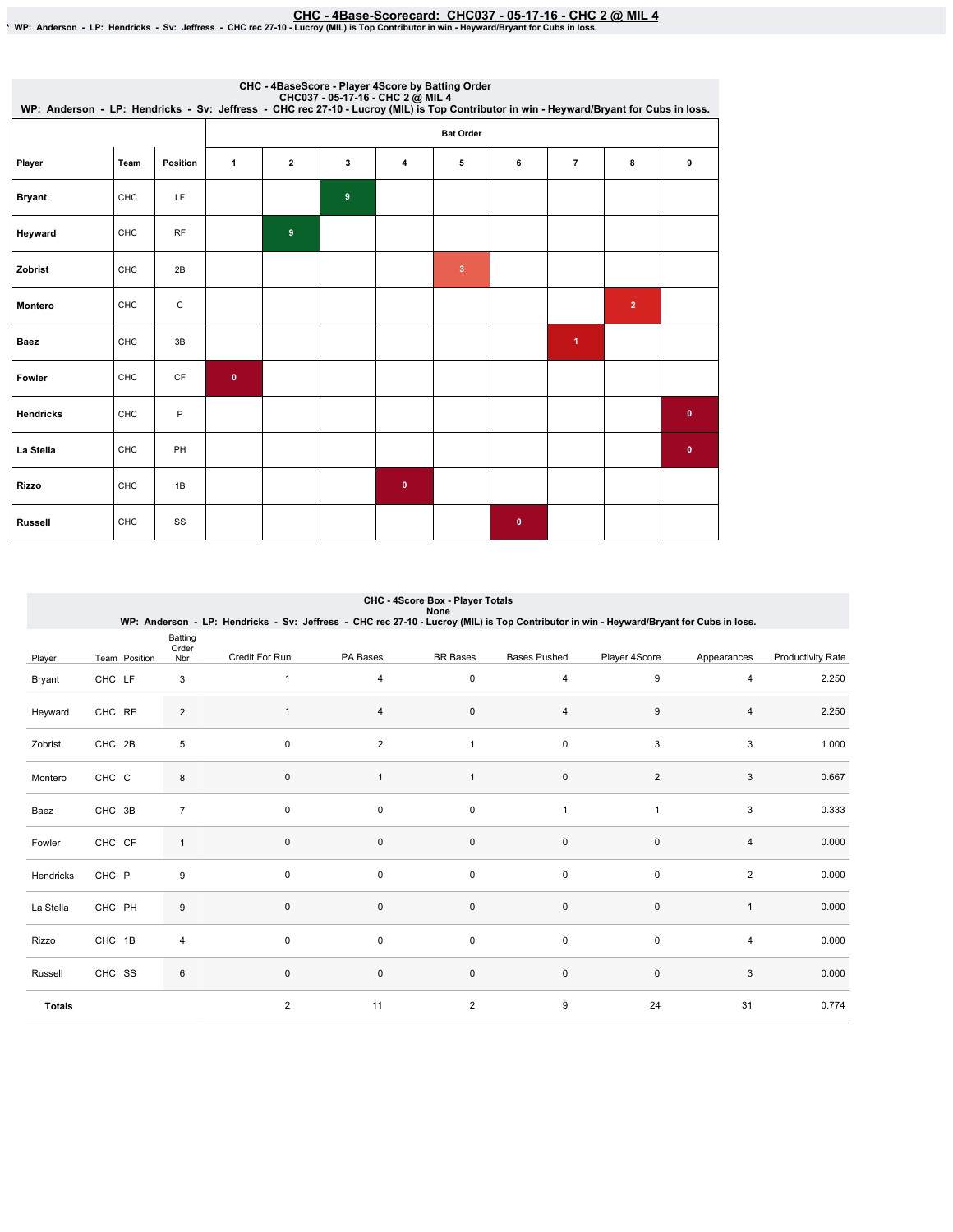<u>CHC - 4Base-Scorecard: CHC037 - 05-17-16 - CHC 2 @ MIL 4</u><br>• WP: Anderson - LP: Hendricks - Sv: Jeffress - CHC rec 27-10 - Lucroy (MIL) is Top Contributor in win - Heyward/Bryant for Cubs in loss.

| CHC037 - 05-17-16 - CHC 2 @ MIL 4<br>WP: Anderson - LP: Hendricks - Sv: Jeffress - CHC rec 27-10 - Lucroy (MIL) is Top Contributor in win - Heyward/Bryant for Cubs in loss. |      |           |                  |              |   | CHC - 4BaseScore - Player 4Score by Batting Order |              |              |                      |                |           |
|------------------------------------------------------------------------------------------------------------------------------------------------------------------------------|------|-----------|------------------|--------------|---|---------------------------------------------------|--------------|--------------|----------------------|----------------|-----------|
|                                                                                                                                                                              |      |           | <b>Bat Order</b> |              |   |                                                   |              |              |                      |                |           |
| Player                                                                                                                                                                       | Team | Position  | $\mathbf{1}$     | $\mathbf{2}$ | 3 | 4                                                 | 5            | 6            | $\overline{7}$       | 8              | 9         |
| <b>Bryant</b>                                                                                                                                                                | CHC  | LF        |                  |              | 9 |                                                   |              |              |                      |                |           |
| Heyward                                                                                                                                                                      | CHC  | <b>RF</b> |                  | 9            |   |                                                   |              |              |                      |                |           |
| Zobrist                                                                                                                                                                      | CHC  | 2B        |                  |              |   |                                                   | $\mathbf{3}$ |              |                      |                |           |
| Montero                                                                                                                                                                      | CHC  | C         |                  |              |   |                                                   |              |              |                      | $\overline{2}$ |           |
| <b>Baez</b>                                                                                                                                                                  | CHC  | 3B        |                  |              |   |                                                   |              |              | $\blacktriangleleft$ |                |           |
| Fowler                                                                                                                                                                       | CHC  | CF        | $\mathbf{0}$     |              |   |                                                   |              |              |                      |                |           |
| <b>Hendricks</b>                                                                                                                                                             | CHC  | P         |                  |              |   |                                                   |              |              |                      |                | $\bullet$ |
| La Stella                                                                                                                                                                    | CHC  | PH        |                  |              |   |                                                   |              |              |                      |                | $\bullet$ |
| Rizzo                                                                                                                                                                        | CHC  | 1B        |                  |              |   | $\mathbf 0$                                       |              |              |                      |                |           |
| <b>Russell</b>                                                                                                                                                               | CHC  | SS        |                  |              |   |                                                   |              | $\mathbf{0}$ |                      |                |           |

|               |               |                         | WP: Anderson - LP: Hendricks - Sv: Jeffress - CHC rec 27-10 - Lucroy (MIL) is Top Contributor in win - Heyward/Bryant for Cubs in loss. |                | CHC - 4Score Box - Player Totals<br>None |                     |                |                |                          |
|---------------|---------------|-------------------------|-----------------------------------------------------------------------------------------------------------------------------------------|----------------|------------------------------------------|---------------------|----------------|----------------|--------------------------|
| Player        | Team Position | Batting<br>Order<br>Nbr | Credit For Run                                                                                                                          | PA Bases       | <b>BR</b> Bases                          | <b>Bases Pushed</b> | Player 4Score  | Appearances    | <b>Productivity Rate</b> |
| Bryant        | CHC LF        | 3                       | $\mathbf{1}$                                                                                                                            | 4              | $\mathsf 0$                              | 4                   | 9              | 4              | 2.250                    |
| Heyward       | CHC RF        | $\overline{2}$          |                                                                                                                                         | 4              | $\mathbf 0$                              | 4                   | 9              | 4              | 2.250                    |
| Zobrist       | CHC 2B        | 5                       | $\mathbf 0$                                                                                                                             | $\overline{2}$ | 1                                        | $\pmb{0}$           | 3              | 3              | 1.000                    |
| Montero       | CHC C         | 8                       | $\mathsf{O}\xspace$                                                                                                                     | $\overline{1}$ | $\overline{1}$                           | $\pmb{0}$           | $\overline{2}$ | 3              | 0.667                    |
| Baez          | CHC 3B        | $\overline{7}$          | $\mathbf 0$                                                                                                                             | $\mathbf 0$    | $\mathsf 0$                              | 1                   | $\overline{1}$ | 3              | 0.333                    |
| Fowler        | CHC CF        | $\mathbf{1}$            | $\mathbf 0$                                                                                                                             | $\mathsf 0$    | $\mathsf 0$                              | $\mathbf 0$         | $\mathbf 0$    | $\overline{4}$ | 0.000                    |
| Hendricks     | CHC P         | 9                       | 0                                                                                                                                       | 0              | 0                                        | 0                   | 0              | $\overline{2}$ | 0.000                    |
| La Stella     | CHC PH        | $\boldsymbol{9}$        | $\mathsf 0$                                                                                                                             | $\mathsf 0$    | $\mathsf 0$                              | $\pmb{0}$           | $\pmb{0}$      | $\mathbf{1}$   | 0.000                    |
| Rizzo         | CHC 1B        | 4                       | $\mathbf 0$                                                                                                                             | 0              | $\pmb{0}$                                | 0                   | 0              | 4              | 0.000                    |
| Russell       | CHC SS        | 6                       | $\mathsf 0$                                                                                                                             | $\mathsf 0$    | $\mathsf 0$                              | $\pmb{0}$           | $\mathbf 0$    | 3              | 0.000                    |
| <b>Totals</b> |               |                         | 2                                                                                                                                       | 11             | $\overline{2}$                           | 9                   | 24             | 31             | 0.774                    |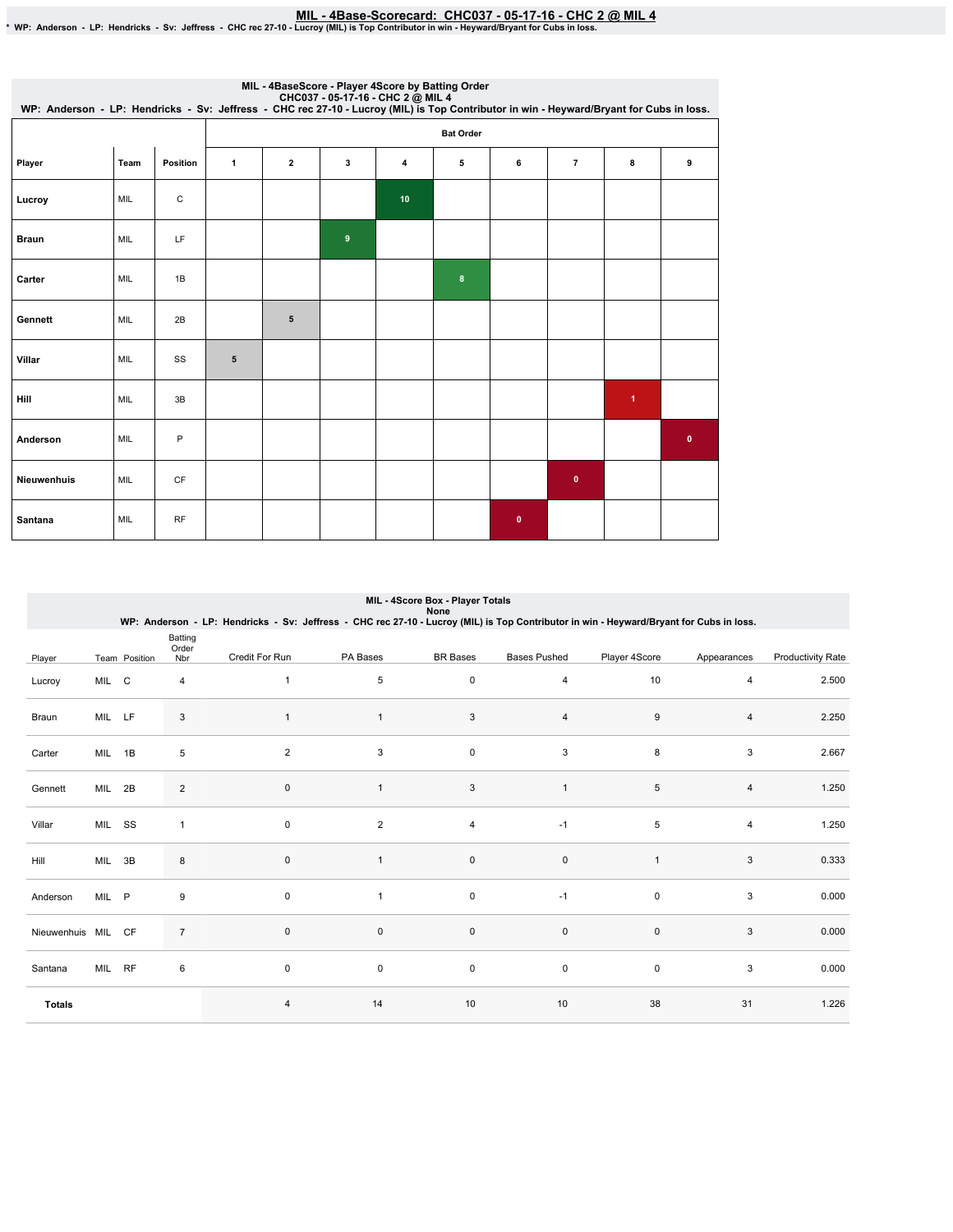<u>MIL - 4Base-Scorecard: CHC037 - 05-17-16 - CHC 2 @ MIL 4</u><br>WP: Anderson - LP: Hendricks - Sv: Jeffress - CHC rec 27-10 - Lucroy (MIL) is Top Contributor in win - Heyward/Bryant for Cubs in loss.

| WP: Anderson - LP: Hendricks - Sv: Jeffress - CHC rec 27-10 - Lucroy (MIL) is Top Contributor in win - Heyward/Bryant for Cubs in loss. |            |             |                  | MIL - 4BaseScore - Player 4Score by Batting Order |                  |                |         |           |                |                      |           |  |
|-----------------------------------------------------------------------------------------------------------------------------------------|------------|-------------|------------------|---------------------------------------------------|------------------|----------------|---------|-----------|----------------|----------------------|-----------|--|
|                                                                                                                                         |            |             | <b>Bat Order</b> |                                                   |                  |                |         |           |                |                      |           |  |
| Player                                                                                                                                  | Team       | Position    | 1                | $\overline{\mathbf{2}}$                           | 3                | $\overline{4}$ | 5       | 6         | $\overline{7}$ | 8                    | 9         |  |
| Lucroy                                                                                                                                  | MIL        | $\mathsf C$ |                  |                                                   |                  | 10             |         |           |                |                      |           |  |
| <b>Braun</b>                                                                                                                            | MIL        | LF          |                  |                                                   | $\boldsymbol{9}$ |                |         |           |                |                      |           |  |
| Carter                                                                                                                                  | MIL        | 1B          |                  |                                                   |                  |                | $\bf 8$ |           |                |                      |           |  |
| Gennett                                                                                                                                 | MIL        | 2B          |                  | 5                                                 |                  |                |         |           |                |                      |           |  |
| Villar                                                                                                                                  | MIL        | SS          | $\sqrt{5}$       |                                                   |                  |                |         |           |                |                      |           |  |
| <b>Hill</b>                                                                                                                             | <b>MIL</b> | 3B          |                  |                                                   |                  |                |         |           |                | $\blacktriangleleft$ |           |  |
| Anderson                                                                                                                                | MIL        | P           |                  |                                                   |                  |                |         |           |                |                      | $\bullet$ |  |
| Nieuwenhuis                                                                                                                             | MIL        | CF          |                  |                                                   |                  |                |         |           | $\mathbf 0$    |                      |           |  |
| Santana                                                                                                                                 | MIL        | RF          |                  |                                                   |                  |                |         | $\pmb{0}$ |                |                      |           |  |

|                    |        |               |                         | WP: Anderson - LP: Hendricks - Sv: Jeffress - CHC rec 27-10 - Lucroy (MIL) is Top Contributor in win - Heyward/Bryant for Cubs in loss. |                | MIL - 4Score Box - Player Totals<br>None |                     |               |             |                   |
|--------------------|--------|---------------|-------------------------|-----------------------------------------------------------------------------------------------------------------------------------------|----------------|------------------------------------------|---------------------|---------------|-------------|-------------------|
| Player             |        | Team Position | Batting<br>Order<br>Nbr | Credit For Run                                                                                                                          | PA Bases       | <b>BR</b> Bases                          | <b>Bases Pushed</b> | Player 4Score | Appearances | Productivity Rate |
| Lucroy             | MIL C  |               | 4                       | 1                                                                                                                                       | 5              | 0                                        | 4                   | 10            | 4           | 2.500             |
| Braun              | MIL LF |               | 3                       | $\overline{1}$                                                                                                                          | $\mathbf{1}$   | $\mathbf{3}$                             | 4                   | 9             | 4           | 2.250             |
| Carter             | MIL 1B |               | 5                       | $\overline{2}$                                                                                                                          | 3              | $\mathbf 0$                              | 3                   | 8             | 3           | 2.667             |
| Gennett            | MIL 2B |               | $\overline{2}$          | $\mathbf 0$                                                                                                                             | $\mathbf{1}$   | 3                                        | $\mathbf{1}$        | $\,$ 5 $\,$   | 4           | 1.250             |
| Villar             | MIL SS |               | 1                       | $\mathbf 0$                                                                                                                             | $\overline{2}$ | 4                                        | $-1$                | 5             | 4           | 1.250             |
| Hill               | MIL 3B |               | 8                       | $\mathbf{0}$                                                                                                                            | $\mathbf{1}$   | $\mathsf 0$                              | $\pmb{0}$           | 1             | 3           | 0.333             |
| Anderson           | MIL P  |               | 9                       | 0                                                                                                                                       | $\mathbf{1}$   | 0                                        | $-1$                | 0             | 3           | 0.000             |
| Nieuwenhuis MIL CF |        |               | $\overline{7}$          | $\mathbf 0$                                                                                                                             | $\mathbf 0$    | $\mathsf{O}\xspace$                      | $\pmb{0}$           | $\pmb{0}$     | 3           | 0.000             |
| Santana            | MIL RF |               | 6                       | $\mathbf 0$                                                                                                                             | 0              | 0                                        | $\pmb{0}$           | $\mathbf 0$   | 3           | 0.000             |
| <b>Totals</b>      |        |               |                         | $\overline{4}$                                                                                                                          | 14             | 10                                       | 10                  | 38            | 31          | 1.226             |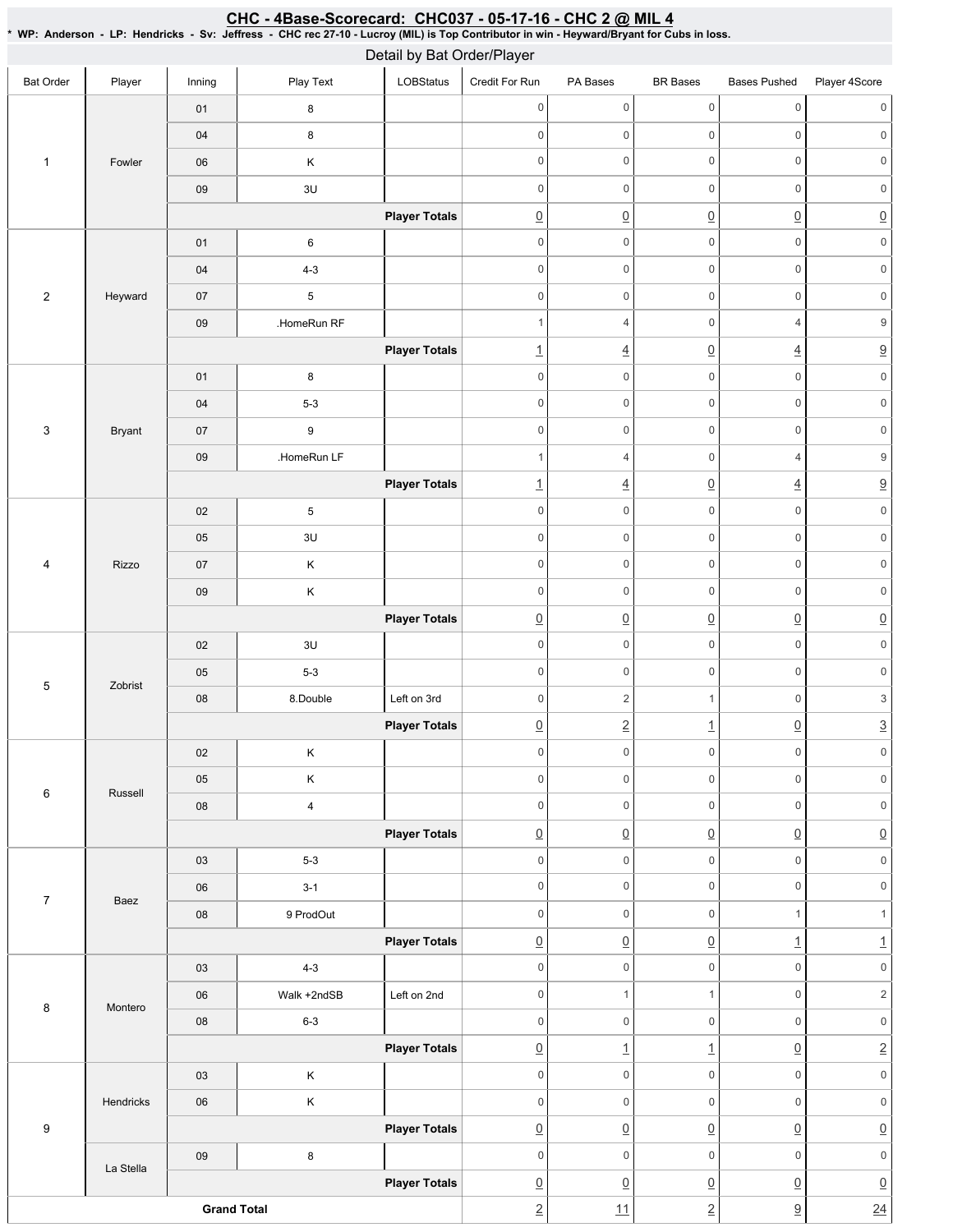# CHC - 4Base-Scorecard: CHC037 - 05-17-16 - CHC 2 @ MIL 4

\* WP: Anderson - LP: Hendricks - Sv: Jeffress - CHC rec 27-10 - Lucroy (MIL) is Top Contributor in win - Heyward/Bryant for Cubs in loss.

|                  |               |                    |                         | Detail by Bat Order/Player |                          |                     |                     |                     |                           |
|------------------|---------------|--------------------|-------------------------|----------------------------|--------------------------|---------------------|---------------------|---------------------|---------------------------|
| <b>Bat Order</b> | Player        | Inning             | Play Text               | LOBStatus                  | Credit For Run           | PA Bases            | <b>BR</b> Bases     | <b>Bases Pushed</b> | Player 4Score             |
|                  |               | 01                 | $\bf 8$                 |                            | $\mathsf{O}\xspace$      | $\mathsf{O}\xspace$ | $\mathsf{O}\xspace$ | $\mathsf{O}\xspace$ | $\mathsf 0$               |
|                  |               | 04                 | $\bf8$                  |                            | $\mathsf 0$              | $\mathsf{O}\xspace$ | $\mathsf{O}\xspace$ | $\mathbf 0$         | $\mathsf{O}\xspace$       |
| $\mathbf{1}$     | Fowler        | 06                 | $\mathsf K$             |                            | $\mathbf 0$              | 0                   | $\mathsf{O}\xspace$ | $\mathbb O$         | $\mathsf{O}\xspace$       |
|                  |               | 09                 | 3U                      |                            | $\mathbf 0$              | $\mathsf{O}\xspace$ | $\mathsf{O}\xspace$ | $\mathbf 0$         | $\mathsf{O}\xspace$       |
|                  |               |                    |                         | <b>Player Totals</b>       | $\underline{0}$          | $\underline{0}$     | $\underline{0}$     | $\underline{0}$     | $\underline{0}$           |
|                  |               | 01                 | $\,6\,$                 |                            | $\mathbf 0$              | $\mathsf{O}\xspace$ | $\mathbf 0$         | $\mathbf 0$         | $\mathsf{O}\xspace$       |
|                  |               | $04\,$             | $4 - 3$                 |                            | $\mathbf 0$              | $\mathsf{O}\xspace$ | $\mathsf{O}\xspace$ | $\mathbf 0$         | $\mathsf{O}\xspace$       |
| $\overline{c}$   | Heyward       | 07                 | $\,$ 5 $\,$             |                            | $\mathbf 0$              | $\mathsf{O}\xspace$ | $\mathsf{O}\xspace$ | $\mathbf 0$         | $\mathsf{O}\xspace$       |
|                  |               | $09\,$             | .HomeRun RF             |                            | $\mathbf{1}$             | $\overline{4}$      | $\mathsf{O}\xspace$ | $\overline{4}$      | $\boldsymbol{9}$          |
|                  |               |                    |                         | <b>Player Totals</b>       | $\underline{\mathbf{1}}$ | $\overline{4}$      | $\underline{0}$     | $\underline{4}$     | $\overline{\partial}$     |
|                  |               | 01                 | $\bf 8$                 |                            | $\mathsf 0$              | 0                   | $\mathsf 0$         | $\mathbf 0$         | $\mathsf{O}\xspace$       |
|                  |               | 04                 | $5-3$                   |                            | $\mathbf 0$              | $\mathsf{O}\xspace$ | $\mathsf{O}\xspace$ | $\mathbf 0$         | $\mathsf{O}\xspace$       |
| 3                | <b>Bryant</b> | 07                 | $\boldsymbol{9}$        |                            | $\mathbf 0$              | $\mathsf{O}\xspace$ | $\mathsf{O}\xspace$ | $\mathbf 0$         | $\mathsf{O}\xspace$       |
|                  |               | $09\,$             | .HomeRun LF             |                            | $\mathbf{1}$             | 4                   | $\mathsf{O}\xspace$ | $\sqrt{4}$          | $\boldsymbol{9}$          |
|                  |               |                    |                         | <b>Player Totals</b>       | $\underline{\mathbf{1}}$ | $\underline{4}$     | $\underline{0}$     | $\underline{4}$     | $\underline{9}$           |
|                  |               | 02                 | $\,$ 5 $\,$             |                            | $\mathbf 0$              | $\mathsf{O}\xspace$ | $\mathsf{O}\xspace$ | $\mathbf 0$         | $\mathsf{O}\xspace$       |
|                  |               | 05                 | 3U                      |                            | $\mathsf 0$              | $\mathsf{O}\xspace$ | $\mathsf{O}\xspace$ | $\mathbf 0$         | $\mathsf{0}$              |
| 4                | Rizzo         | 07                 | $\sf K$                 |                            | $\mathbf 0$              | $\mathsf{O}\xspace$ | $\mathsf{O}\xspace$ | $\mathsf{O}\xspace$ | $\mathsf{O}\xspace$       |
|                  |               | 09                 | $\mathsf K$             |                            | $\mathbf 0$              | 0                   | $\mathsf{O}\xspace$ | $\mathbb O$         | $\mathsf{O}\xspace$       |
|                  |               |                    |                         | <b>Player Totals</b>       | $\underline{0}$          | $\underline{0}$     | $\underline{0}$     | $\underline{0}$     | $\underline{0}$           |
|                  |               | $02\,$             | 3U                      |                            | $\mathsf 0$              | $\mathsf{O}\xspace$ | $\mathsf{O}\xspace$ | $\mathbf 0$         | $\mathsf{O}\xspace$       |
|                  |               | $05\,$             | $5-3$                   |                            | $\mathbf 0$              | $\mathsf{O}\xspace$ | $\mathsf{O}\xspace$ | $\mathbf 0$         | $\mathsf{O}\xspace$       |
| 5                | Zobrist       | 08                 | 8.Double                | Left on 3rd                | $\mathbf 0$              | $\overline{c}$      | $\mathbf{1}$        | $\mathsf{O}\xspace$ | $\ensuremath{\mathsf{3}}$ |
|                  |               |                    |                         | <b>Player Totals</b>       | $\underline{0}$          | $\underline{2}$     | $\overline{1}$      | $\underline{0}$     | $\overline{3}$            |
|                  |               | 02                 | $\mathsf K$             |                            | $\mathsf{O}\xspace$      | 0                   | $\mathsf{O}\xspace$ | $\mathsf{0}$        | $\mathsf{O}\xspace$       |
|                  |               | 05                 | $\mathsf K$             |                            | $\mathbf 0$              | $\mathsf{O}$        | $\mathsf{O}\xspace$ | $\mathsf{O}\xspace$ | $\mathsf{O}\xspace$       |
| $\,6$            | Russell       | 08                 | $\overline{\mathbf{4}}$ |                            | $\mathsf{O}\xspace$      | 0                   | $\mathsf{O}\xspace$ | $\mathbb O$         | $\mathsf{O}\xspace$       |
|                  |               |                    |                         | <b>Player Totals</b>       | $\underline{0}$          | $\underline{0}$     | $\underline{0}$     | $\underline{0}$     | $\underline{0}$           |
|                  |               | 03                 | $5-3$                   |                            | $\mathsf{O}\xspace$      | $\mathsf{O}\xspace$ | $\mathsf{O}\xspace$ | $\mathbf 0$         | $\mathsf{O}\xspace$       |
|                  |               | ${\bf 06}$         | $3 - 1$                 |                            | $\mathbf 0$              | $\mathsf{O}\xspace$ | $\mathsf{O}\xspace$ | $\mathsf{O}\xspace$ | $\mathsf{O}\xspace$       |
| $\boldsymbol{7}$ | Baez          | ${\bf 08}$         | 9 ProdOut               |                            | $\mathbf 0$              | $\mathsf{O}\xspace$ | $\mathsf{O}\xspace$ | $\mathbf{1}$        | $\mathbf{1}$              |
|                  |               |                    |                         | <b>Player Totals</b>       | $\underline{0}$          | $\underline{0}$     | $\underline{0}$     | $\overline{1}$      | $\underline{1}$           |
|                  |               | 03                 | $4 - 3$                 |                            | $\mathsf{O}\xspace$      | $\mathsf{O}$        | $\mathsf{O}\xspace$ | $\mathsf{O}\xspace$ | $\mathsf{O}\xspace$       |
|                  |               | 06                 | Walk +2ndSB             | Left on 2nd                | $\mathbf 0$              | $\mathbf{1}$        | $\mathbf{1}$        | $\mathbb O$         | $\sqrt{2}$                |
| $\,8\,$          | Montero       | ${\bf 08}$         | $6 - 3$                 |                            | $\mathsf{O}\xspace$      | $\mathsf{O}\xspace$ | $\mathsf{O}\xspace$ | $\mathsf{O}\xspace$ | $\mathsf{O}\xspace$       |
|                  |               |                    |                         | <b>Player Totals</b>       | $\underline{0}$          | $\perp$             | $\overline{1}$      | $\underline{0}$     | $\underline{2}$           |
|                  |               | 03                 | $\mathsf K$             |                            | $\mathsf{O}\xspace$      | $\mathsf{O}\xspace$ | $\mathsf{O}\xspace$ | $\mathsf{O}\xspace$ | $\mathsf{O}\xspace$       |
|                  | Hendricks     | ${\bf 06}$         | $\sf K$                 |                            | $\mathsf{O}\xspace$      | $\mathsf{O}\xspace$ | $\mathsf{O}\xspace$ | $\mathbf 0$         | $\mathsf{O}\xspace$       |
| $\boldsymbol{9}$ |               |                    |                         | <b>Player Totals</b>       | $\underline{0}$          | $\underline{0}$     | $\underline{0}$     | $\underline{0}$     | $\underline{0}$           |
|                  |               | $09\,$             | $\bf 8$                 |                            | $\mathbf 0$              | $\mathsf 0$         | $\mathsf{O}\xspace$ | $\mathbf 0$         | $\mathsf{O}\xspace$       |
|                  | La Stella     |                    |                         | <b>Player Totals</b>       | $\underline{0}$          | $\underline{0}$     | $\underline{0}$     | $\underline{0}$     | $\underline{0}$           |
|                  |               | <b>Grand Total</b> |                         |                            | $\underline{2}$          | 11                  | $\underline{2}$     | $\underline{9}$     | 24                        |